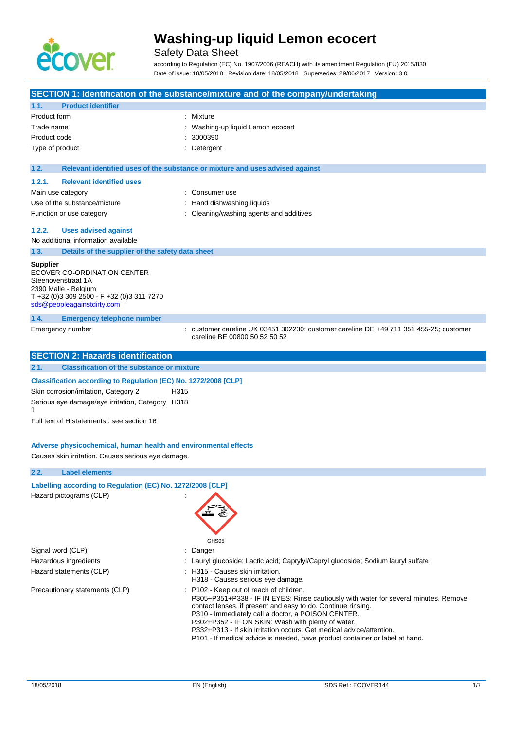

# Safety Data Sheet

according to Regulation (EC) No. 1907/2006 (REACH) with its amendment Regulation (EU) 2015/830 Date of issue: 18/05/2018 Revision date: 18/05/2018 Supersedes: 29/06/2017 Version: 3.0

|                                                                                                                                                                                                                             | SECTION 1: Identification of the substance/mixture and of the company/undertaking                                                                                                                                                                                                                                                                                                                                                                                   |  |
|-----------------------------------------------------------------------------------------------------------------------------------------------------------------------------------------------------------------------------|---------------------------------------------------------------------------------------------------------------------------------------------------------------------------------------------------------------------------------------------------------------------------------------------------------------------------------------------------------------------------------------------------------------------------------------------------------------------|--|
| <b>Product identifier</b><br>1.1.                                                                                                                                                                                           |                                                                                                                                                                                                                                                                                                                                                                                                                                                                     |  |
| Product form                                                                                                                                                                                                                | : Mixture                                                                                                                                                                                                                                                                                                                                                                                                                                                           |  |
| Trade name                                                                                                                                                                                                                  | Washing-up liquid Lemon ecocert                                                                                                                                                                                                                                                                                                                                                                                                                                     |  |
| Product code                                                                                                                                                                                                                | 3000390                                                                                                                                                                                                                                                                                                                                                                                                                                                             |  |
| Type of product                                                                                                                                                                                                             | Detergent                                                                                                                                                                                                                                                                                                                                                                                                                                                           |  |
| 1.2.                                                                                                                                                                                                                        | Relevant identified uses of the substance or mixture and uses advised against                                                                                                                                                                                                                                                                                                                                                                                       |  |
| <b>Relevant identified uses</b><br>1.2.1.                                                                                                                                                                                   |                                                                                                                                                                                                                                                                                                                                                                                                                                                                     |  |
| Main use category                                                                                                                                                                                                           | : Consumer use                                                                                                                                                                                                                                                                                                                                                                                                                                                      |  |
| Use of the substance/mixture                                                                                                                                                                                                | Hand dishwashing liquids                                                                                                                                                                                                                                                                                                                                                                                                                                            |  |
| Function or use category                                                                                                                                                                                                    | Cleaning/washing agents and additives                                                                                                                                                                                                                                                                                                                                                                                                                               |  |
| 1.2.2.<br><b>Uses advised against</b>                                                                                                                                                                                       |                                                                                                                                                                                                                                                                                                                                                                                                                                                                     |  |
| No additional information available                                                                                                                                                                                         |                                                                                                                                                                                                                                                                                                                                                                                                                                                                     |  |
| 1.3.                                                                                                                                                                                                                        | Details of the supplier of the safety data sheet                                                                                                                                                                                                                                                                                                                                                                                                                    |  |
| Supplier<br>ECOVER CO-ORDINATION CENTER<br>Steenovenstraat 1A<br>2390 Malle - Belgium<br>T +32 (0)3 309 2500 - F +32 (0)3 311 7270<br>sds@peopleagainstdirty.com                                                            |                                                                                                                                                                                                                                                                                                                                                                                                                                                                     |  |
| 1.4.<br><b>Emergency telephone number</b>                                                                                                                                                                                   |                                                                                                                                                                                                                                                                                                                                                                                                                                                                     |  |
| Emergency number                                                                                                                                                                                                            | : customer careline UK 03451 302230; customer careline DE +49 711 351 455-25; customer<br>careline BE 00800 50 52 50 52                                                                                                                                                                                                                                                                                                                                             |  |
| <b>SECTION 2: Hazards identification</b>                                                                                                                                                                                    |                                                                                                                                                                                                                                                                                                                                                                                                                                                                     |  |
| 2.1.                                                                                                                                                                                                                        | <b>Classification of the substance or mixture</b>                                                                                                                                                                                                                                                                                                                                                                                                                   |  |
| Skin corrosion/irritation, Category 2<br>Serious eye damage/eye irritation, Category H318<br>1<br>Full text of H statements : see section 16<br>Causes skin irritation. Causes serious eye damage.<br><b>Label elements</b> | Classification according to Regulation (EC) No. 1272/2008 [CLP]<br>H315<br>Adverse physicochemical, human health and environmental effects                                                                                                                                                                                                                                                                                                                          |  |
| 2.2.                                                                                                                                                                                                                        |                                                                                                                                                                                                                                                                                                                                                                                                                                                                     |  |
| Hazard pictograms (CLP)                                                                                                                                                                                                     | Labelling according to Regulation (EC) No. 1272/2008 [CLP]<br>GHS05                                                                                                                                                                                                                                                                                                                                                                                                 |  |
| Signal word (CLP)                                                                                                                                                                                                           | Danger                                                                                                                                                                                                                                                                                                                                                                                                                                                              |  |
| Hazardous ingredients                                                                                                                                                                                                       | : Lauryl glucoside; Lactic acid; Caprylyl/Capryl glucoside; Sodium lauryl sulfate                                                                                                                                                                                                                                                                                                                                                                                   |  |
| Hazard statements (CLP)                                                                                                                                                                                                     | : H315 - Causes skin irritation.<br>H318 - Causes serious eye damage.                                                                                                                                                                                                                                                                                                                                                                                               |  |
| Precautionary statements (CLP)                                                                                                                                                                                              | : P102 - Keep out of reach of children.<br>P305+P351+P338 - IF IN EYES: Rinse cautiously with water for several minutes. Remove<br>contact lenses, if present and easy to do. Continue rinsing.<br>P310 - Immediately call a doctor, a POISON CENTER.<br>P302+P352 - IF ON SKIN: Wash with plenty of water.<br>P332+P313 - If skin irritation occurs: Get medical advice/attention.<br>P101 - If medical advice is needed, have product container or label at hand. |  |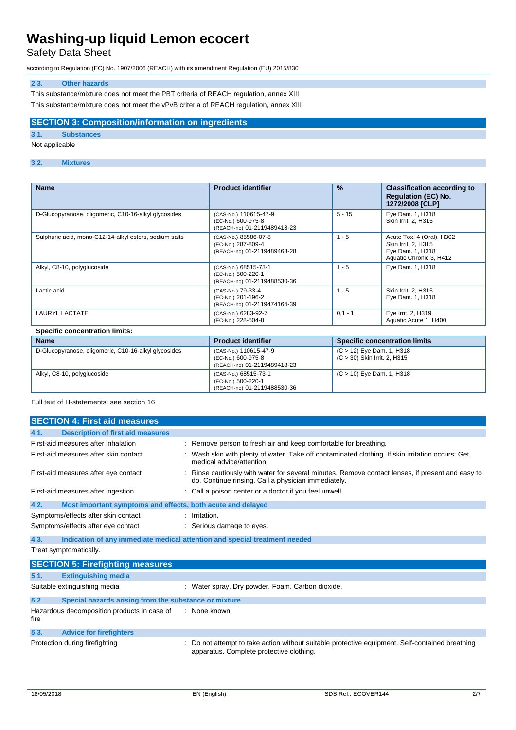Safety Data Sheet

according to Regulation (EC) No. 1907/2006 (REACH) with its amendment Regulation (EU) 2015/830

# **2.3. Other hazards**

This substance/mixture does not meet the PBT criteria of REACH regulation, annex XIII This substance/mixture does not meet the vPvB criteria of REACH regulation, annex XIII

### **SECTION 3: Composition/information on ingredients**

# **3.1. Substances**

Not applicable

## **3.2. Mixtures**

| <b>Name</b>                                            | <b>Product identifier</b>                                                  | $\%$      | <b>Classification according to</b><br><b>Requlation (EC) No.</b><br>1272/2008 [CLP]             |
|--------------------------------------------------------|----------------------------------------------------------------------------|-----------|-------------------------------------------------------------------------------------------------|
| D-Glucopyranose, oligomeric, C10-16-alkyl glycosides   | (CAS-No.) 110615-47-9<br>(EC-No.) 600-975-8<br>(REACH-no) 01-2119489418-23 | $5 - 15$  | Eye Dam. 1, H318<br>Skin Irrit. 2, H315                                                         |
| Sulphuric acid, mono-C12-14-alkyl esters, sodium salts | (CAS-No.) 85586-07-8<br>(EC-No.) 287-809-4<br>(REACH-no) 01-2119489463-28  | $1 - 5$   | Acute Tox. 4 (Oral), H302<br>Skin Irrit. 2, H315<br>Eye Dam. 1, H318<br>Aquatic Chronic 3, H412 |
| Alkyl, C8-10, polyglucoside                            | (CAS-No.) 68515-73-1<br>(EC-No.) 500-220-1<br>(REACH-no) 01-2119488530-36  | $1 - 5$   | Eye Dam. 1, H318                                                                                |
| Lactic acid                                            | (CAS-No.) 79-33-4<br>(EC-No.) 201-196-2<br>(REACH-no) 01-2119474164-39     | $1 - 5$   | Skin Irrit. 2, H315<br>Eye Dam. 1, H318                                                         |
| LAURYL LACTATE                                         | (CAS-No.) 6283-92-7<br>(EC-No.) 228-504-8                                  | $0,1 - 1$ | Eye Irrit. 2, H319<br>Aquatic Acute 1, H400                                                     |
| <b>Specific concentration limits:</b>                  |                                                                            |           |                                                                                                 |

#### **Name Product identifier Specific concentration limits** D-Glucopyranose, oligomeric, C10-16-alkyl glycosides (CAS-No.) 110615-47-9 (EC-No.) 600-975-8 (REACH-no) 01-2119489418-23 (C > 12) Eye Dam. 1, H318 (C > 30) Skin Irrit. 2, H315 Alkyl, C8-10, polyglucoside (CAS-No.) 68515-73-1 (EC-No.) 500-220-1 (REACH-no) 01-2119488530-36 (C > 10) Eye Dam. 1, H318

Full text of H-statements: see section 16

|      | <b>SECTION 4: First aid measures</b>                                       |  |                                                                                                                                                         |
|------|----------------------------------------------------------------------------|--|---------------------------------------------------------------------------------------------------------------------------------------------------------|
| 4.1. | <b>Description of first aid measures</b>                                   |  |                                                                                                                                                         |
|      | First-aid measures after inhalation                                        |  | : Remove person to fresh air and keep comfortable for breathing.                                                                                        |
|      | First-aid measures after skin contact                                      |  | Wash skin with plenty of water. Take off contaminated clothing. If skin irritation occurs: Get<br>medical advice/attention.                             |
|      | First-aid measures after eye contact                                       |  | : Rinse cautiously with water for several minutes. Remove contact lenses, if present and easy to<br>do. Continue rinsing. Call a physician immediately. |
|      | First-aid measures after ingestion                                         |  | : Call a poison center or a doctor if you feel unwell.                                                                                                  |
| 4.2. | Most important symptoms and effects, both acute and delayed                |  |                                                                                                                                                         |
|      | Symptoms/effects after skin contact                                        |  | : Irritation.                                                                                                                                           |
|      | Symptoms/effects after eye contact                                         |  | : Serious damage to eyes.                                                                                                                               |
| 4.3. | Indication of any immediate medical attention and special treatment needed |  |                                                                                                                                                         |
|      | Treat symptomatically.                                                     |  |                                                                                                                                                         |
|      | <b>SECTION 5: Firefighting measures</b>                                    |  |                                                                                                                                                         |
| 5.1. | <b>Extinguishing media</b>                                                 |  |                                                                                                                                                         |
|      | Suitable extinguishing media                                               |  | : Water spray. Dry powder. Foam. Carbon dioxide.                                                                                                        |
| 5.2. | Special hazards arising from the substance or mixture                      |  |                                                                                                                                                         |
| fire | Hazardous decomposition products in case of                                |  | : None known.                                                                                                                                           |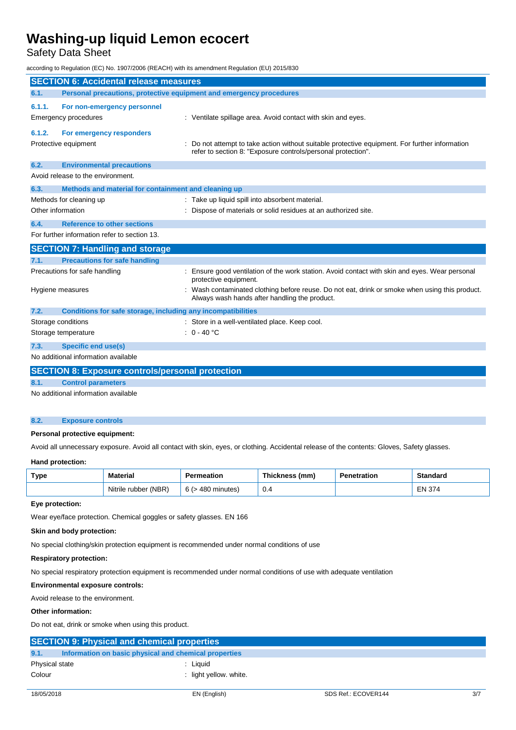Safety Data Sheet

according to Regulation (EC) No. 1907/2006 (REACH) with its amendment Regulation (EU) 2015/830

| <b>SECTION 6: Accidental release measures</b> |                                                                     |  |                                                                                                                                                              |
|-----------------------------------------------|---------------------------------------------------------------------|--|--------------------------------------------------------------------------------------------------------------------------------------------------------------|
| 6.1.                                          | Personal precautions, protective equipment and emergency procedures |  |                                                                                                                                                              |
| 6.1.1.                                        | For non-emergency personnel                                         |  |                                                                                                                                                              |
|                                               | Emergency procedures                                                |  | : Ventilate spillage area. Avoid contact with skin and eyes.                                                                                                 |
| 6.1.2.                                        | For emergency responders                                            |  |                                                                                                                                                              |
|                                               | Protective equipment                                                |  | Do not attempt to take action without suitable protective equipment. For further information<br>refer to section 8: "Exposure controls/personal protection". |
| 6.2.                                          | <b>Environmental precautions</b>                                    |  |                                                                                                                                                              |
|                                               | Avoid release to the environment.                                   |  |                                                                                                                                                              |
| 6.3.                                          | Methods and material for containment and cleaning up                |  |                                                                                                                                                              |
|                                               | Methods for cleaning up                                             |  | Take up liquid spill into absorbent material.                                                                                                                |
| Other information                             |                                                                     |  | Dispose of materials or solid residues at an authorized site.                                                                                                |
| 6.4.                                          | <b>Reference to other sections</b>                                  |  |                                                                                                                                                              |
|                                               | For further information refer to section 13.                        |  |                                                                                                                                                              |
|                                               | <b>SECTION 7: Handling and storage</b>                              |  |                                                                                                                                                              |
| 7.1.                                          | <b>Precautions for safe handling</b>                                |  |                                                                                                                                                              |
|                                               | Precautions for safe handling                                       |  | Ensure good ventilation of the work station. Avoid contact with skin and eyes. Wear personal<br>protective equipment.                                        |
|                                               | Hygiene measures                                                    |  | Wash contaminated clothing before reuse. Do not eat, drink or smoke when using this product.<br>Always wash hands after handling the product.                |
| 7.2.                                          | Conditions for safe storage, including any incompatibilities        |  |                                                                                                                                                              |
| Storage conditions                            |                                                                     |  | Store in a well-ventilated place. Keep cool.                                                                                                                 |
|                                               | Storage temperature                                                 |  | $: 0 - 40 °C$                                                                                                                                                |
| 7.3.                                          | <b>Specific end use(s)</b>                                          |  |                                                                                                                                                              |
|                                               | No additional information available                                 |  |                                                                                                                                                              |
|                                               | <b>SECTION 8: Exposure controls/personal protection</b>             |  |                                                                                                                                                              |
| 8.1.                                          | <b>Control parameters</b>                                           |  |                                                                                                                                                              |

No additional information available

#### **8.2. Exposure controls**

### **Personal protective equipment:**

Avoid all unnecessary exposure. Avoid all contact with skin, eyes, or clothing. Accidental release of the contents: Gloves, Safety glasses.

#### **Hand protection:**

| Type | Material             | Permeation             | Thickness (mm) | Penetration | <b>Standard</b> |
|------|----------------------|------------------------|----------------|-------------|-----------------|
|      | Nitrile rubber (NBR) | $6$ ( $>$ 480 minutes) | 0.4            |             | <b>EN 374</b>   |

#### **Eye protection:**

Wear eye/face protection. Chemical goggles or safety glasses. EN 166

### **Skin and body protection:**

No special clothing/skin protection equipment is recommended under normal conditions of use

#### **Respiratory protection:**

No special respiratory protection equipment is recommended under normal conditions of use with adequate ventilation

### **Environmental exposure controls:**

Avoid release to the environment.

## **Other information:**

Do not eat, drink or smoke when using this product.

| <b>SECTION 9: Physical and chemical properties</b>            |                        |  |
|---------------------------------------------------------------|------------------------|--|
| 9.1.<br>Information on basic physical and chemical properties |                        |  |
| Physical state                                                | Liauid                 |  |
| Colour                                                        | : light yellow, white. |  |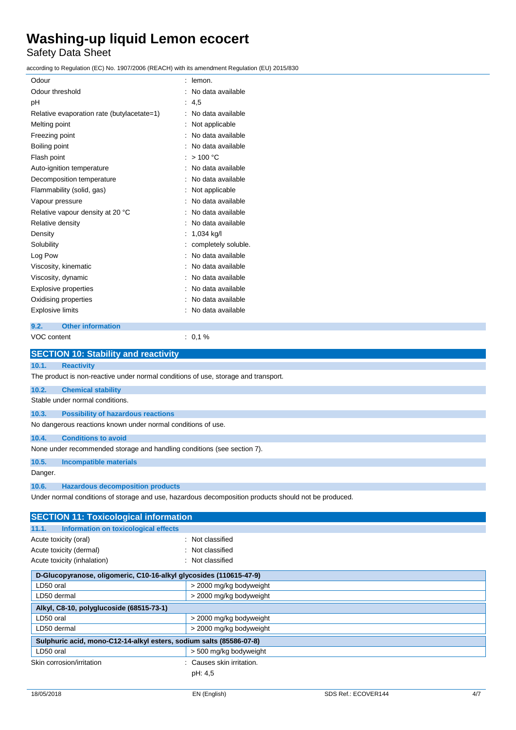Safety Data Sheet

according to Regulation (EC) No. 1907/2006 (REACH) with its amendment Regulation (EU) 2015/830

| Odour                                       | lemon.              |
|---------------------------------------------|---------------------|
| Odour threshold                             | No data available   |
| pH                                          | 4,5                 |
| Relative evaporation rate (butylacetate=1)  | No data available   |
| Melting point                               | Not applicable      |
| Freezing point                              | No data available   |
| Boiling point                               | No data available   |
| Flash point                                 | >100 °C             |
| Auto-ignition temperature                   | No data available   |
| Decomposition temperature                   | No data available   |
| Flammability (solid, gas)                   | Not applicable      |
| Vapour pressure                             | No data available   |
| Relative vapour density at 20 °C            | No data available   |
| Relative density                            | No data available   |
| Density                                     | 1,034 kg/l          |
| Solubility                                  | completely soluble. |
| Log Pow                                     | No data available   |
| Viscosity, kinematic                        | No data available   |
| Viscosity, dynamic                          | No data available   |
| <b>Explosive properties</b>                 | No data available   |
| Oxidising properties                        | No data available   |
| <b>Explosive limits</b>                     | No data available   |
| <b>Other information</b><br>9.2.            |                     |
| VOC content                                 | 0.1%                |
| <b>SECTION 10: Stability and reactivity</b> |                     |

# **10.1. Reactivity**

The product is non-reactive under normal conditions of use, storage and transport.

**10.2. Chemical stability**

Stable under normal conditions.

# **10.3. Possibility of hazardous reactions**

No dangerous reactions known under normal conditions of use.

### **10.4. Conditions to avoid**

None under recommended storage and handling conditions (see section 7).

# **10.5. Incompatible materials**

Danger.

## **10.6. Hazardous decomposition products**

Under normal conditions of storage and use, hazardous decomposition products should not be produced.

| <b>SECTION 11: Toxicological information</b>                        |                         |
|---------------------------------------------------------------------|-------------------------|
| Information on toxicological effects<br>11.1.                       |                         |
| Acute toxicity (oral)                                               | : Not classified        |
| Acute toxicity (dermal)                                             | : Not classified        |
| Acute toxicity (inhalation)                                         | : Not classified        |
| D-Glucopyranose, oligomeric, C10-16-alkyl glycosides (110615-47-9)  |                         |
| LD50 oral                                                           | > 2000 mg/kg bodyweight |
| LD50 dermal                                                         | > 2000 mg/kg bodyweight |
| Alkyl, C8-10, polyglucoside (68515-73-1)                            |                         |
| LD50 oral                                                           | > 2000 mg/kg bodyweight |
| LD50 dermal                                                         | > 2000 mg/kg bodyweight |
| Sulphuric acid, mono-C12-14-alkyl esters, sodium salts (85586-07-8) |                         |
| LD50 oral                                                           | > 500 mg/kg bodyweight  |
| Skin corrosion/irritation                                           | Causes skin irritation. |
|                                                                     | pH: 4,5                 |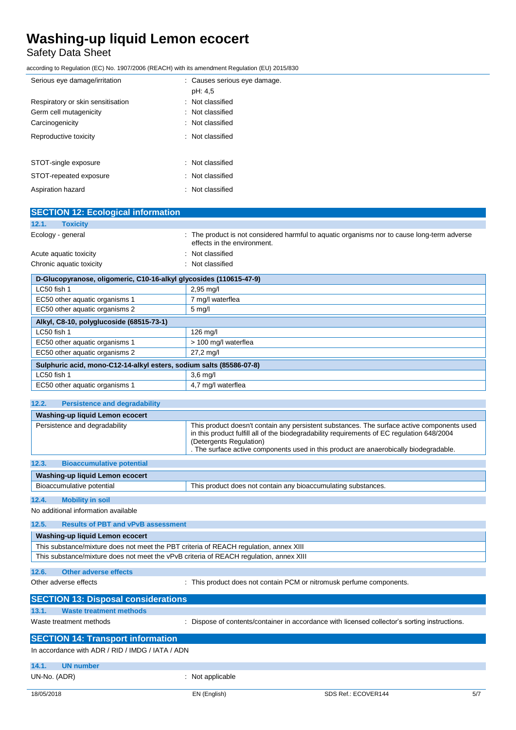# Safety Data Sheet

according to Regulation (EC) No. 1907/2006 (REACH) with its amendment Regulation (EU) 2015/830

| Serious eye damage/irritation     | : Causes serious eye damage. |
|-----------------------------------|------------------------------|
|                                   | pH: 4,5                      |
| Respiratory or skin sensitisation | : Not classified             |
| Germ cell mutagenicity            | : Not classified             |
| Carcinogenicity                   | : Not classified             |
| Reproductive toxicity             | : Not classified             |
| STOT-single exposure              | : Not classified             |
| STOT-repeated exposure            | : Not classified             |
| Aspiration hazard                 | : Not classified             |

| The product is not considered harmful to aquatic organisms nor to cause long-term adverse<br>effects in the environment. |
|--------------------------------------------------------------------------------------------------------------------------|
| Not classified                                                                                                           |
| : Not classified                                                                                                         |
| D-Glucopyranose, oligomeric, C10-16-alkyl glycosides (110615-47-9)                                                       |
| $2,95$ mg/l                                                                                                              |
| 7 mg/l waterflea                                                                                                         |
| $5 \text{ mg/l}$                                                                                                         |
|                                                                                                                          |
| 126 mg/l                                                                                                                 |
| > 100 mg/l waterflea                                                                                                     |
| $27,2 \, \text{mg}/\text{l}$                                                                                             |
| Sulphuric acid, mono-C12-14-alkyl esters, sodium salts (85586-07-8)                                                      |
| $3,6$ mg/l                                                                                                               |
| 4.7 mg/l waterflea                                                                                                       |
|                                                                                                                          |

## **12.2. Persistence and degradability**

| Washing-up liquid Lemon ecocert           |                                                                                                                                                                                                                                                                                                              |
|-------------------------------------------|--------------------------------------------------------------------------------------------------------------------------------------------------------------------------------------------------------------------------------------------------------------------------------------------------------------|
| Persistence and degradability             | This product doesn't contain any persistent substances. The surface active components used<br>in this product fulfill all of the biodegradability requirements of EC regulation 648/2004<br>(Detergents Regulation)<br>. The surface active components used in this product are anaerobically biodegradable. |
|                                           |                                                                                                                                                                                                                                                                                                              |
| 12.3.<br><b>Bioaccumulative potential</b> |                                                                                                                                                                                                                                                                                                              |

# **Washing-up liquid Lemon ecocert** Bioaccumulative potential This product does not contain any bioaccumulating substances.

# **12.4. Mobility in soil**

No additional information available

| 12.5. | <b>Results of PBT and vPvB assessment</b>                                              |  |  |
|-------|----------------------------------------------------------------------------------------|--|--|
|       | Washing-up liquid Lemon ecocert                                                        |  |  |
|       | This substance/mixture does not meet the PBT criteria of REACH regulation, annex XIII  |  |  |
|       | This substance/mixture does not meet the vPvB criteria of REACH regulation, annex XIII |  |  |
| 12.6. | Other adverse effects                                                                  |  |  |

Other adverse effects **interest in the contain PCM** or nitromusk perfume components.

| <b>SECTION 13: Disposal considerations</b>       |                                                                                               |
|--------------------------------------------------|-----------------------------------------------------------------------------------------------|
| 13.1.<br>Waste treatment methods                 |                                                                                               |
| Waste treatment methods                          | : Dispose of contents/container in accordance with licensed collector's sorting instructions. |
| <b>SECTION 14: Transport information</b>         |                                                                                               |
| In accordance with ADR / RID / IMDG / IATA / ADN |                                                                                               |
| 14.1.<br><b>UN number</b>                        |                                                                                               |

UN-No. (ADR)  $\qquad \qquad$ : Not applicable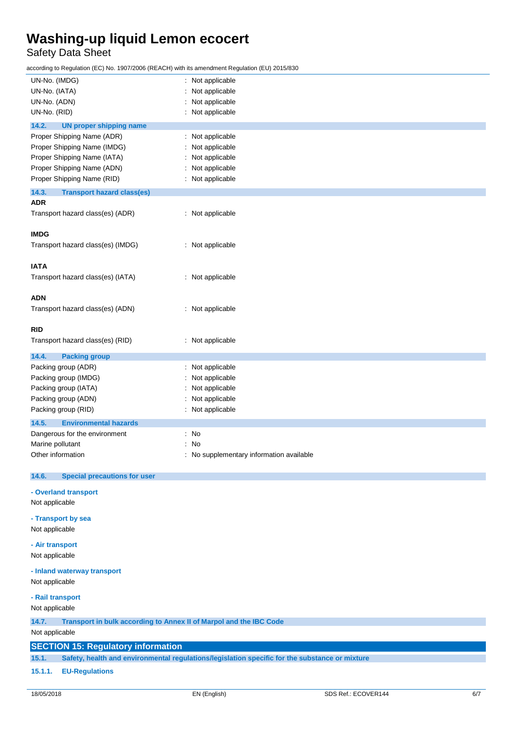# Safety Data Sheet

according to Regulation (EC) No. 1907/2006 (REACH) with its amendment Regulation (EU) 2015/830

| UN-No. (IMDG)                                                               | : Not applicable                                                                               |  |  |
|-----------------------------------------------------------------------------|------------------------------------------------------------------------------------------------|--|--|
| UN-No. (IATA)                                                               | Not applicable                                                                                 |  |  |
| UN-No. (ADN)                                                                | Not applicable<br>÷                                                                            |  |  |
| UN-No. (RID)                                                                | : Not applicable                                                                               |  |  |
| 14.2.<br><b>UN proper shipping name</b>                                     |                                                                                                |  |  |
| Proper Shipping Name (ADR)                                                  | : Not applicable                                                                               |  |  |
| Proper Shipping Name (IMDG)                                                 | Not applicable                                                                                 |  |  |
| Proper Shipping Name (IATA)                                                 | Not applicable                                                                                 |  |  |
| Proper Shipping Name (ADN)                                                  | : Not applicable                                                                               |  |  |
| Proper Shipping Name (RID)                                                  | : Not applicable                                                                               |  |  |
| 14.3.<br><b>Transport hazard class(es)</b>                                  |                                                                                                |  |  |
| <b>ADR</b>                                                                  |                                                                                                |  |  |
| Transport hazard class(es) (ADR)                                            | : Not applicable                                                                               |  |  |
|                                                                             |                                                                                                |  |  |
| <b>IMDG</b>                                                                 |                                                                                                |  |  |
| Transport hazard class(es) (IMDG)                                           | : Not applicable                                                                               |  |  |
|                                                                             |                                                                                                |  |  |
| <b>IATA</b>                                                                 |                                                                                                |  |  |
| Transport hazard class(es) (IATA)                                           | : Not applicable                                                                               |  |  |
|                                                                             |                                                                                                |  |  |
| <b>ADN</b>                                                                  |                                                                                                |  |  |
| Transport hazard class(es) (ADN)                                            | : Not applicable                                                                               |  |  |
|                                                                             |                                                                                                |  |  |
| <b>RID</b>                                                                  |                                                                                                |  |  |
| Transport hazard class(es) (RID)                                            | : Not applicable                                                                               |  |  |
|                                                                             |                                                                                                |  |  |
| 14.4.<br><b>Packing group</b>                                               |                                                                                                |  |  |
| Packing group (ADR)                                                         | : Not applicable                                                                               |  |  |
| Packing group (IMDG)                                                        | Not applicable                                                                                 |  |  |
| Packing group (IATA)                                                        | Not applicable                                                                                 |  |  |
| Packing group (ADN)                                                         | Not applicable                                                                                 |  |  |
| Packing group (RID)                                                         | : Not applicable                                                                               |  |  |
| 14.5.<br><b>Environmental hazards</b>                                       |                                                                                                |  |  |
| Dangerous for the environment                                               | : No                                                                                           |  |  |
| Marine pollutant                                                            | : No                                                                                           |  |  |
| Other information                                                           | : No supplementary information available                                                       |  |  |
|                                                                             |                                                                                                |  |  |
| 14.6.<br><b>Special precautions for user</b>                                |                                                                                                |  |  |
| - Overland transport                                                        |                                                                                                |  |  |
| Not applicable                                                              |                                                                                                |  |  |
|                                                                             |                                                                                                |  |  |
| - Transport by sea                                                          |                                                                                                |  |  |
| Not applicable                                                              |                                                                                                |  |  |
| - Air transport                                                             |                                                                                                |  |  |
| Not applicable                                                              |                                                                                                |  |  |
|                                                                             |                                                                                                |  |  |
| - Inland waterway transport                                                 |                                                                                                |  |  |
| Not applicable                                                              |                                                                                                |  |  |
| - Rail transport                                                            |                                                                                                |  |  |
| Not applicable                                                              |                                                                                                |  |  |
| 14.7.<br>Transport in bulk according to Annex II of Marpol and the IBC Code |                                                                                                |  |  |
| Not applicable                                                              |                                                                                                |  |  |
|                                                                             |                                                                                                |  |  |
| <b>SECTION 15: Regulatory information</b>                                   |                                                                                                |  |  |
| 15.1.                                                                       | Safety, health and environmental regulations/legislation specific for the substance or mixture |  |  |
| <b>EU-Regulations</b><br>15.1.1.                                            |                                                                                                |  |  |